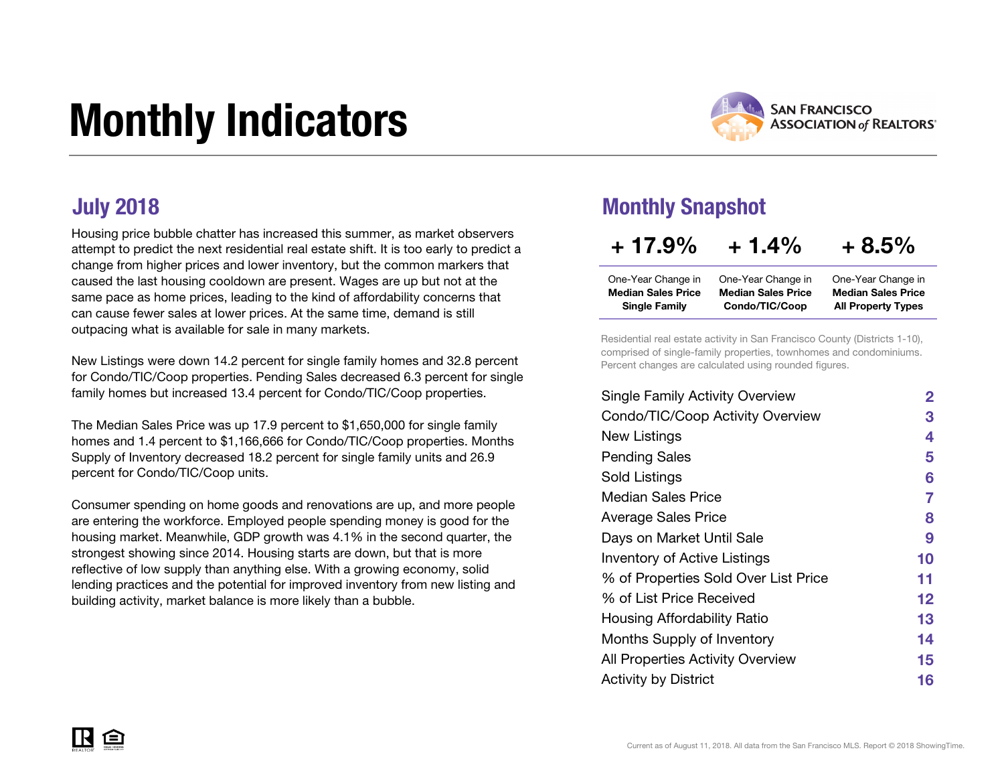# Monthly Indicators



Housing price bubble chatter has increased this summer, as market observers attempt to predict the next residential real estate shift. It is too early to predict a change from higher prices and lower inventory, but the common markers that caused the last housing cooldown are present. Wages are up but not at the same pace as home prices, leading to the kind of affordability concerns that can cause fewer sales at lower prices. At the same time, demand is still outpacing what is available for sale in many markets.

New Listings were down 14.2 percent for single family homes and 32.8 percent for Condo/TIC/Coop properties. Pending Sales decreased 6.3 percent for single family homes but increased 13.4 percent for Condo/TIC/Coop properties.

The Median Sales Price was up 17.9 percent to \$1,650,000 for single family homes and 1.4 percent to \$1,166,666 for Condo/TIC/Coop properties. Months Supply of Inventory decreased 18.2 percent for single family units and 26.9 percent for Condo/TIC/Coop units.

Consumer spending on home goods and renovations are up, and more people are entering the workforce. Employed people spending money is good for the housing market. Meanwhile, GDP growth was 4.1% in the second quarter, the strongest showing since 2014. Housing starts are down, but that is more reflective of low supply than anything else. With a growing economy, solid lending practices and the potential for improved inventory from new listing and building activity, market balance is more likely than a bubble.

#### July 2018 Monthly Snapshot

| $+17.9%$                  | $+1.4%$                   | $+8.5%$                   |
|---------------------------|---------------------------|---------------------------|
| One-Year Change in        | One-Year Change in        | One-Year Change in        |
| <b>Median Sales Price</b> | <b>Median Sales Price</b> | <b>Median Sales Price</b> |
| <b>Single Family</b>      | Condo/TIC/Coop            | <b>All Property Types</b> |

Residential real estate activity in San Francisco County (Districts 1-10), comprised of single-family properties, townhomes and condominiums. Percent changes are calculated using rounded figures.

| <b>Single Family Activity Overview</b> | $\mathbf{2}$ |
|----------------------------------------|--------------|
| Condo/TIC/Coop Activity Overview       | 3            |
| New Listings                           | 4            |
| <b>Pending Sales</b>                   | 5            |
| Sold Listings                          | 6            |
| Median Sales Price                     | 7            |
| <b>Average Sales Price</b>             | 8            |
| Days on Market Until Sale              | 9            |
| <b>Inventory of Active Listings</b>    | 10           |
| % of Properties Sold Over List Price   | 11           |
| % of List Price Received               | 12           |
| Housing Affordability Ratio            | 13           |
| Months Supply of Inventory             | 14           |
| All Properties Activity Overview       | 15           |
| <b>Activity by District</b>            | 16           |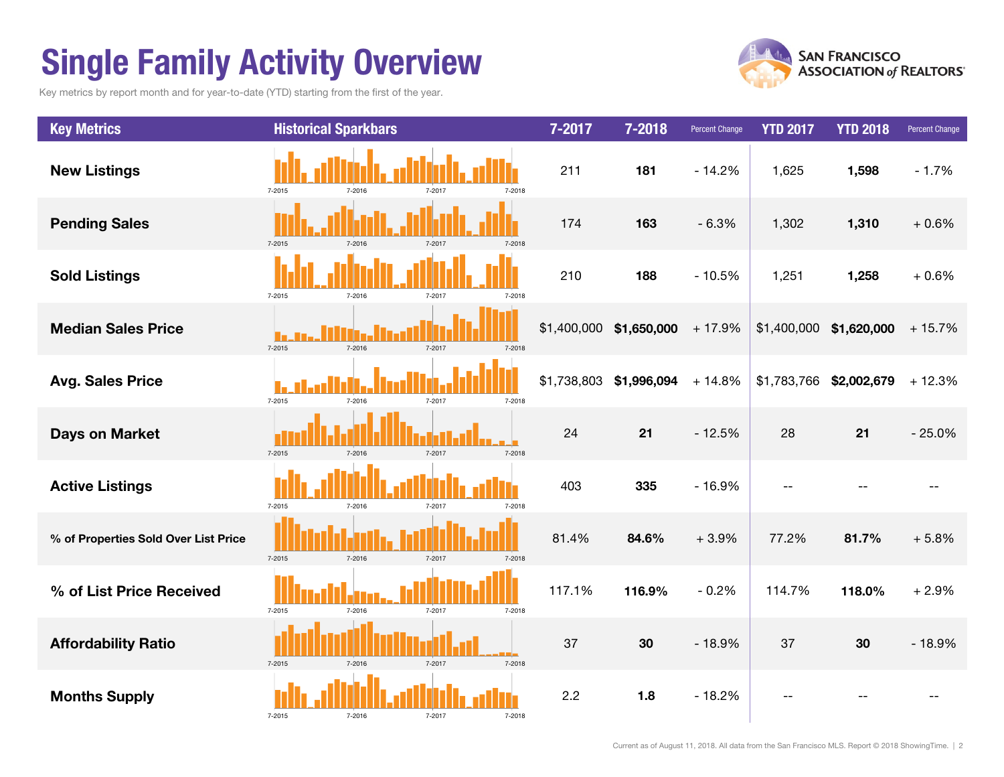### Single Family Activity Overview

Key metrics by report month and for year-to-date (YTD) starting from the first of the year.



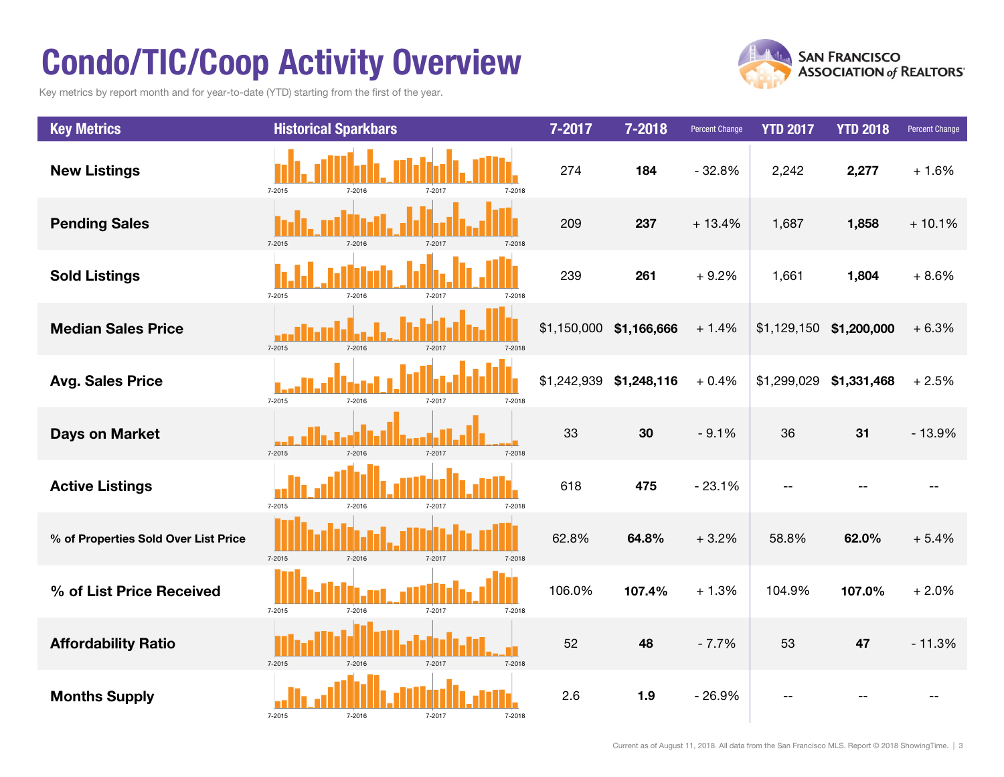### Condo/TIC/Coop Activity Overview

Key metrics by report month and for year-to-date (YTD) starting from the first of the year.



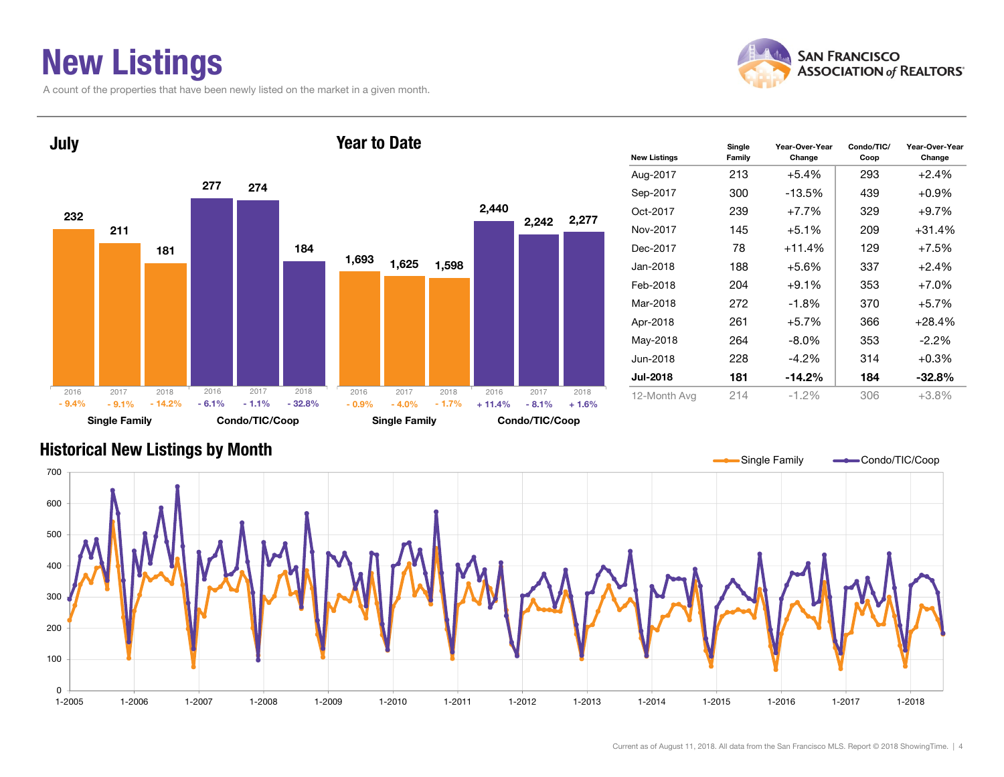### New Listings

A count of the properties that have been newly listed on the market in a given month.





| <b>New Listings</b> | Single<br>Family | Year-Over-Year<br>Change | Condo/TIC/<br>Coop | Year-Over-Year<br>Change |
|---------------------|------------------|--------------------------|--------------------|--------------------------|
| Aug-2017            | 213              | $+5.4%$                  | 293                | $+2.4%$                  |
| Sep-2017            | 300              | $-13.5\%$                | 439                | $+0.9\%$                 |
| Oct-2017            | 239              | $+7.7%$                  | 329                | $+9.7%$                  |
| Nov-2017            | 145              | $+5.1\%$                 | 209                | $+31.4%$                 |
| Dec-2017            | 78               | $+11.4%$                 | 129                | $+7.5%$                  |
| Jan-2018            | 188              | $+5.6%$                  | 337                | $+2.4%$                  |
| Feb-2018            | 204              | $+9.1%$                  | 353                | $+7.0%$                  |
| Mar-2018            | 272              | $-1.8%$                  | 370                | $+5.7%$                  |
| Apr-2018            | 261              | $+5.7%$                  | 366                | $+28.4%$                 |
| May-2018            | 264              | -8.0%                    | 353                | $-2.2\%$                 |
| Jun-2018            | 228              | $-4.2\%$                 | 314                | $+0.3\%$                 |
| <b>Jul-2018</b>     | 181              | $-14.2%$                 | 184                | $-32.8%$                 |
| 12-Month Avg        | 214              | $-1.2%$                  | 306                | $+3.8%$                  |

#### Historical New Listings by Month

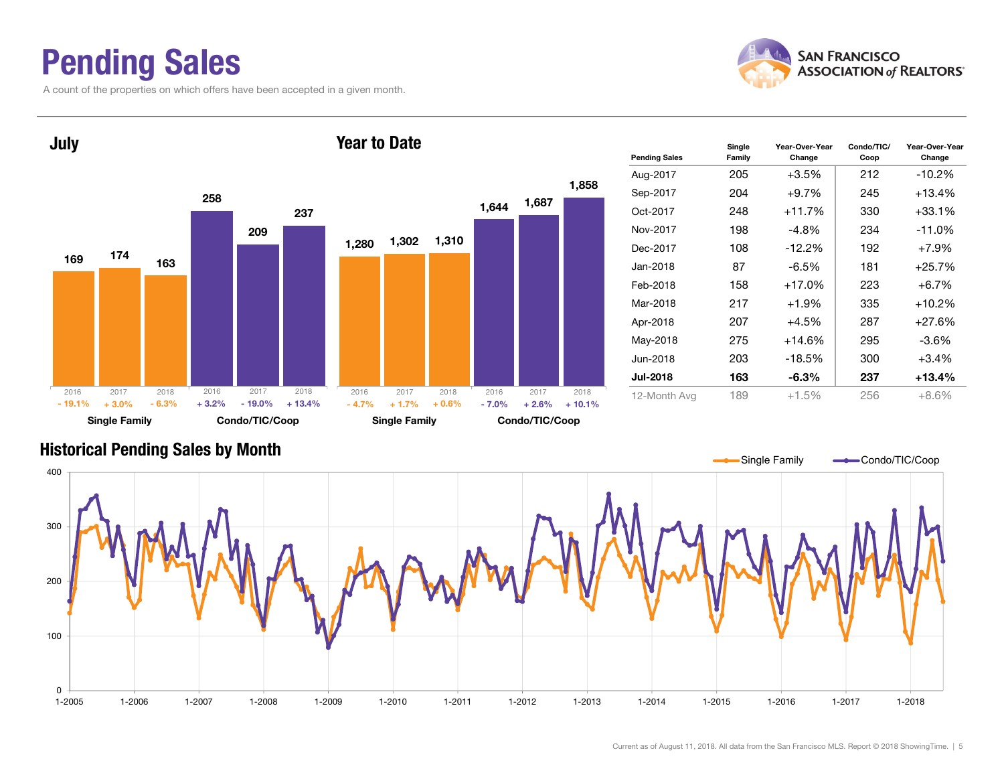### Pending Sales

A count of the properties on which offers have been accepted in a given month.



Year-Over-Year Change



#### Historical Pending Sales by Month

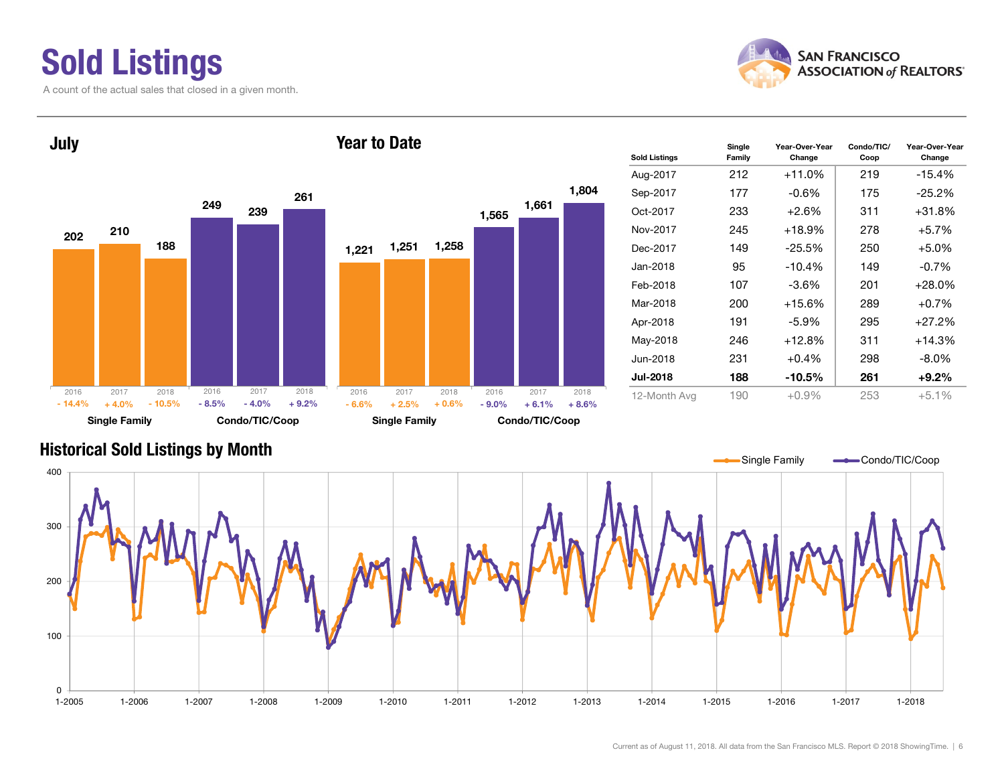## Sold Listings

A count of the actual sales that closed in a given month.





| <b>Sold Listings</b> | Single<br>Family | Year-Over-Year<br>Change | Condo/TIC/<br>Coop | Year-Over-Year<br>Change |  |  |
|----------------------|------------------|--------------------------|--------------------|--------------------------|--|--|
| Aug-2017             | 212              | $+11.0%$                 | 219                | $-15.4%$                 |  |  |
| Sep-2017             | 177              | $-0.6%$                  | 175                | $-25.2\%$                |  |  |
| Oct-2017             | 233              | $+2.6%$                  | 311                | $+31.8%$                 |  |  |
| Nov-2017             | 245              | $+18.9%$                 | 278                | $+5.7%$                  |  |  |
| Dec-2017             | 149              | $-25.5%$                 | 250                | $+5.0%$                  |  |  |
| Jan-2018             | 95               | $-10.4%$                 | 149                | $-0.7%$                  |  |  |
| Feb-2018             | 107              | $-3.6%$                  | 201                | $+28.0%$                 |  |  |
| Mar-2018             | 200              | $+15.6%$                 | 289                | $+0.7%$                  |  |  |
| Apr-2018             | 191              | $-5.9\%$                 | 295                | $+27.2%$                 |  |  |
| May-2018             | 246              | $+12.8%$                 | 311                | $+14.3%$                 |  |  |
| Jun-2018             | 231              | $+0.4%$                  | 298                | $-8.0\%$                 |  |  |
| <b>Jul-2018</b>      | 188              | $-10.5%$                 | 261                | $+9.2%$                  |  |  |
| 12-Month Avg         | 190              | $+0.9%$                  | 253                | $+5.1%$                  |  |  |

#### Historical Sold Listings by Month

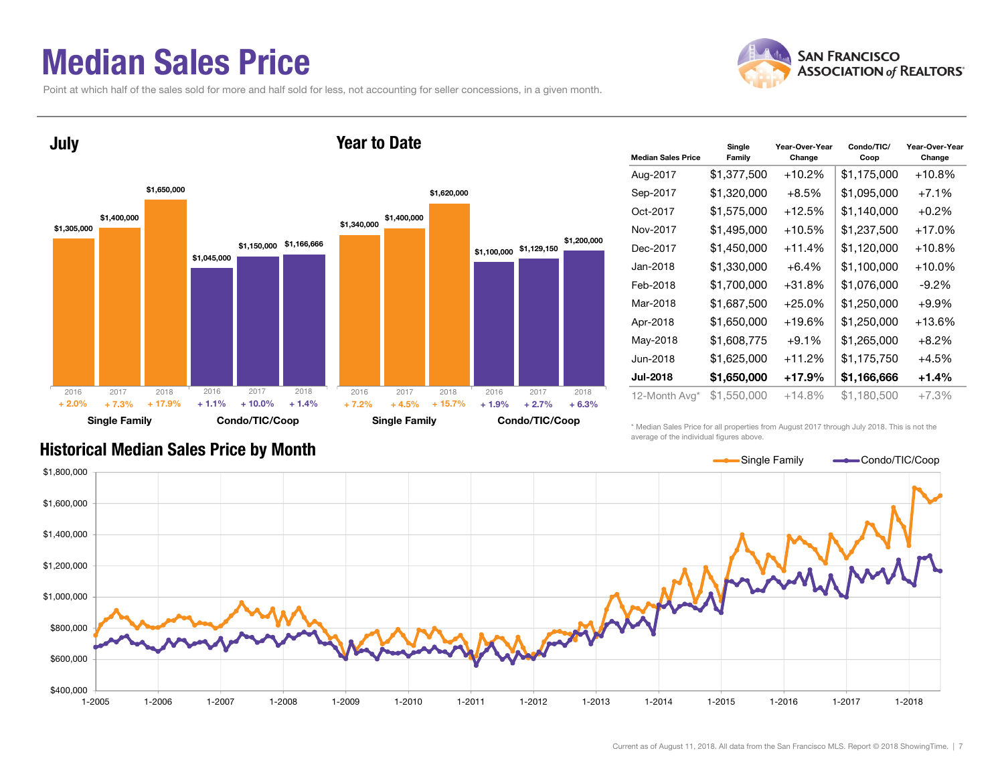#### Median Sales Price

Point at which half of the sales sold for more and half sold for less, not accounting for seller concessions, in a given month.





| <b>Median Sales Price</b> | Single<br>Family | Year-Over-Year<br>Change | Condo/TIC/<br>Coop | Year-Over-Year<br>Change |  |
|---------------------------|------------------|--------------------------|--------------------|--------------------------|--|
| Aug-2017                  | \$1,377,500      | $+10.2%$                 | \$1,175,000        | $+10.8%$                 |  |
| Sep-2017                  | \$1,320,000      | $+8.5%$                  | \$1,095,000        | $+7.1%$                  |  |
| Oct-2017                  | \$1,575,000      | $+12.5%$                 | \$1,140,000        | $+0.2%$                  |  |
| Nov-2017                  | \$1,495,000      | $+10.5%$                 | \$1,237,500        | +17.0%                   |  |
| Dec-2017                  | \$1,450,000      | $+11.4%$                 | \$1,120,000        | $+10.8%$                 |  |
| Jan-2018                  | \$1,330,000      | $+6.4%$                  | \$1,100,000        | $+10.0\%$                |  |
| Feb-2018                  | \$1,700,000      | $+31.8%$                 | \$1,076,000        | $-9.2\%$                 |  |
| Mar-2018                  | \$1,687,500      | $+25.0%$                 | \$1,250,000        | $+9.9%$                  |  |
| Apr-2018                  | \$1,650,000      | $+19.6%$                 | \$1,250,000        | $+13.6%$                 |  |
| May-2018                  | \$1,608,775      | $+9.1%$                  | \$1,265,000        | $+8.2%$                  |  |
| Jun-2018                  | \$1,625,000      | $+11.2%$                 | \$1,175,750        | $+4.5%$                  |  |
| <b>Jul-2018</b>           | \$1,650,000      | $+17.9%$                 | \$1,166,666        | $+1.4%$                  |  |
| 12-Month Avg*             | \$1,550,000      | +14.8%                   | \$1,180,500        | $+7.3%$                  |  |

#### Historical Median Sales Price by Month

\* Median Sales Price for all properties from August 2017 through July 2018. This is not the average of the individual figures above.

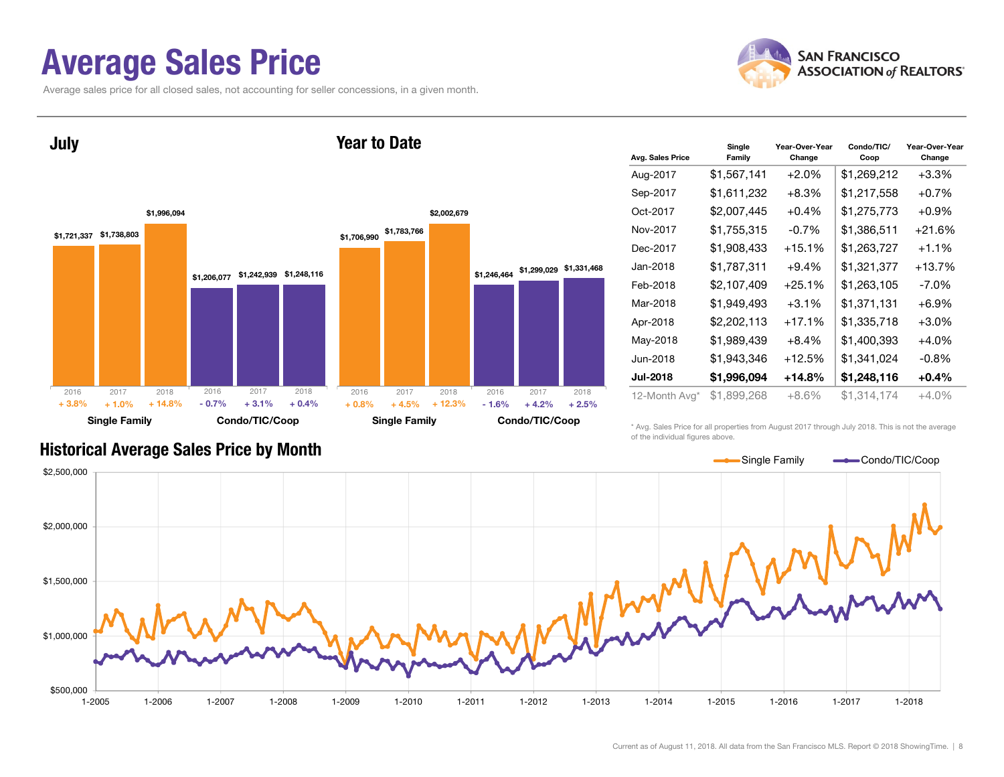#### Average Sales Price

Average sales price for all closed sales, not accounting for seller concessions, in a given month.





| Avg. Sales Price | Single<br>Family | Year-Over-Year<br>Change | Condo/TIC/<br>Coop | Year-Over-Year<br>Change |  |  |
|------------------|------------------|--------------------------|--------------------|--------------------------|--|--|
| Aug-2017         | \$1,567,141      | $+2.0%$                  | \$1,269,212        | $+3.3%$                  |  |  |
| Sep-2017         | \$1,611,232      | $+8.3\%$                 | \$1,217,558        | $+0.7\%$                 |  |  |
| Oct-2017         | \$2,007,445      | $+0.4%$                  | \$1,275,773        | $+0.9%$                  |  |  |
| Nov-2017         | \$1,755,315      | $-0.7%$                  | \$1,386,511        | $+21.6%$                 |  |  |
| Dec-2017         | \$1,908,433      | $+15.1%$                 | \$1,263,727        | $+1.1%$                  |  |  |
| Jan-2018         | \$1,787,311      | $+9.4%$                  | \$1,321,377        | $+13.7%$                 |  |  |
| Feb-2018         | \$2,107,409      | $+25.1%$                 | \$1.263.105        | -7.0%                    |  |  |
| Mar-2018         | \$1,949,493      | $+3.1%$                  | \$1,371,131        | $+6.9%$                  |  |  |
| Apr-2018         | \$2,202,113      | $+17.1%$                 | \$1,335,718        | $+3.0%$                  |  |  |
| May-2018         | \$1,989,439      | $+8.4\%$                 | \$1,400,393        | $+4.0\%$                 |  |  |
| Jun-2018         | \$1,943,346      | $+12.5%$                 | \$1,341,024        | $-0.8%$                  |  |  |
| <b>Jul-2018</b>  | \$1,996,094      | $+14.8\%$                | \$1,248,116        | $+0.4\%$                 |  |  |
| 12-Month Avg*    | \$1,899,268      | $+8.6%$                  | \$1,314,174        | $+4.0%$                  |  |  |

#### Historical Average Sales Price by Month

\* Avg. Sales Price for all properties from August 2017 through July 2018. This is not the average of the individual figures above.

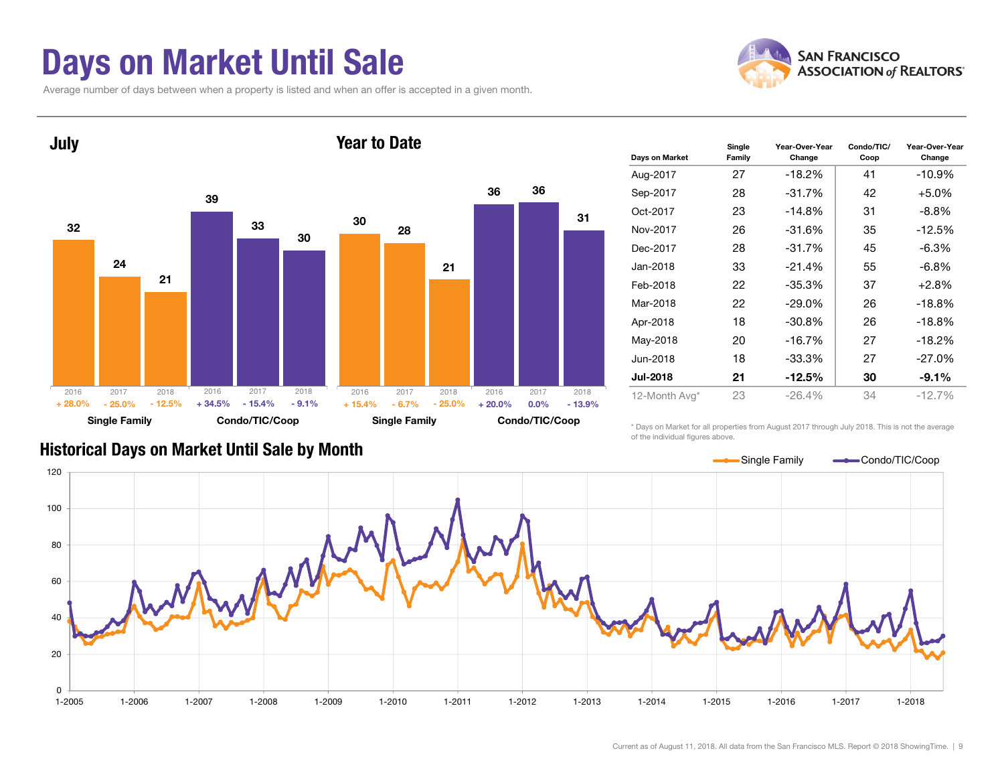### Days on Market Until Sale

Average number of days between when a property is listed and when an offer is accepted in a given month.





| Days on Market  | Single<br>Family | Year-Over-Year<br>Change | Condo/TIC/<br>Coop | Year-Over-Year<br>Change |
|-----------------|------------------|--------------------------|--------------------|--------------------------|
| Aug-2017        | 27               | $-18.2%$                 | 41                 | $-10.9%$                 |
| Sep-2017        | 28               | $-31.7%$                 | 42                 | $+5.0%$                  |
| Oct-2017        | 23               | $-14.8%$                 | 31                 | $-8.8\%$                 |
| Nov-2017        | 26               | $-31.6%$                 | 35                 | $-12.5%$                 |
| Dec-2017        | 28               | $-31.7%$                 | 45                 | $-6.3\%$                 |
| Jan-2018        | 33               | $-21.4%$                 | 55                 | $-6.8\%$                 |
| Feb-2018        | 22               | -35.3%                   | 37                 | $+2.8%$                  |
| Mar-2018        | 22               | $-29.0\%$                | 26                 | $-18.8%$                 |
| Apr-2018        | 18               | $-30.8%$                 | 26                 | $-18.8%$                 |
| May-2018        | 20               | $-16.7%$                 | 27                 | $-18.2%$                 |
| Jun-2018        | 18               | $-33.3\%$                | 27                 | $-27.0%$                 |
| <b>Jul-2018</b> | 21               | -12.5%                   | 30                 | $-9.1\%$                 |
| 12-Month Avg*   | 23               | $-26.4%$                 | 34                 | $-12.7%$                 |

#### Historical Days on Market Until Sale by Month

\* Days on Market for all properties from August 2017 through July 2018. This is not the average of the individual figures above.

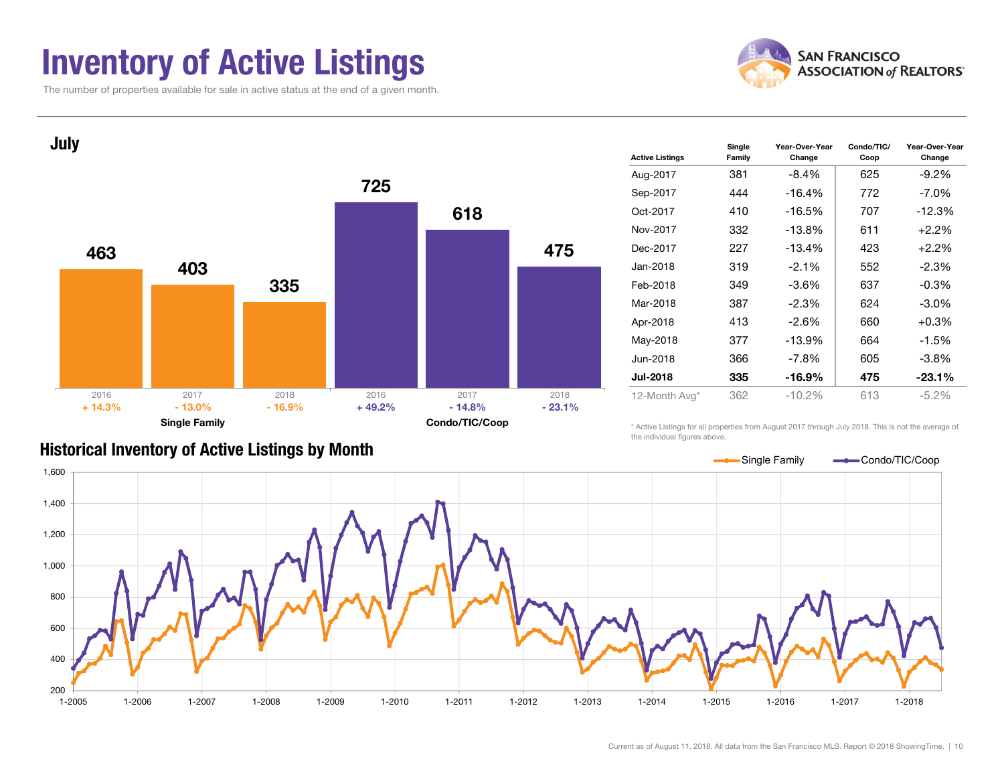### Inventory of Active Listings

The number of properties available for sale in active status at the end of a given month.





| <b>Active Listings</b> | Single<br>Family | Year-Over-Year<br>Change | Condo/TIC/<br>Coop | Year-Over-Year<br>Change |
|------------------------|------------------|--------------------------|--------------------|--------------------------|
| Aug-2017               | 381              | $-8.4\%$                 | 625                | $-9.2%$                  |
| Sep-2017               | 444              | -16.4%                   | 772                | $-7.0\%$                 |
| Oct-2017               | 410              | -16.5%                   | 707                | $-12.3%$                 |
| Nov-2017               | 332              | $-13.8%$                 | 611                | $+2.2%$                  |
| Dec-2017               | 227              | $-13.4%$                 | 423                | $+2.2%$                  |
| Jan-2018               | 319              | $-2.1%$                  | 552                | $-2.3\%$                 |
| Feb-2018               | 349              | $-3.6\%$                 | 637                | $-0.3\%$                 |
| Mar-2018               | 387              | $-2.3%$                  | 624                | $-3.0\%$                 |
| Apr-2018               | 413              | $-2.6\%$                 | 660                | $+0.3\%$                 |
| May-2018               | 377              | -13.9%                   | 664                | $-1.5%$                  |
| Jun-2018               | 366              | $-7.8\%$                 | 605                | $-3.8%$                  |
| <b>Jul-2018</b>        | 335              | -16.9%                   | 475                | $-23.1%$                 |
| 12-Month Avg*          | 362              | $-10.2%$                 | 613                | $-5.2\%$                 |

#### Historical Inventory of Active Listings by Month

\* Active Listings for all properties from August 2017 through July 2018. This is not the average of the individual figures above.

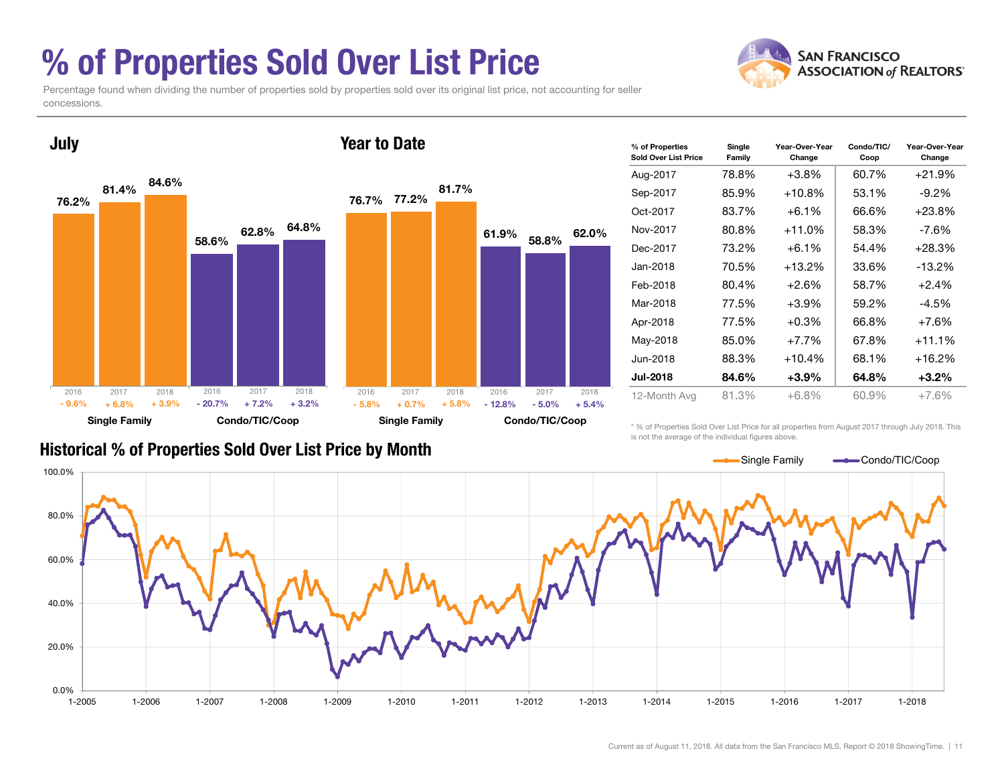### % of Properties Sold Over List Price

**SAN FRANCISCO ASSOCIATION of REALTORS'** 

Percentage found when dividing the number of properties sold by properties sold over its original list price, not accounting for seller concessions.



| % of Properties<br>Sold Over List Price | Single<br>Family | Year-Over-Year<br>Change | Condo/TIC/<br>Coop | Year-Over-Year<br>Change |
|-----------------------------------------|------------------|--------------------------|--------------------|--------------------------|
| Aug-2017                                | 78.8%            | $+3.8%$                  | 60.7%              | +21.9%                   |
| Sep-2017                                | 85.9%            | $+10.8%$                 | 53.1%              | $-9.2\%$                 |
| Oct-2017                                | 83.7%            | $+6.1%$                  | 66.6%              | $+23.8%$                 |
| Nov-2017                                | 80.8%            | $+11.0%$                 | 58.3%              | -7.6%                    |
| Dec-2017                                | 73.2%            | $+6.1%$                  | 54.4%              | $+28.3%$                 |
| Jan-2018.                               | 70.5%            | $+13.2%$                 | 33.6%              | $-13.2\%$                |
| Feb-2018                                | 80.4%            | $+2.6%$                  | 58.7%              | $+2.4%$                  |
| Mar-2018                                | 77.5%            | $+3.9\%$                 | 59.2%              | $-4.5%$                  |
| Apr-2018                                | 77.5%            | $+0.3%$                  | 66.8%              | $+7.6%$                  |
| May-2018                                | 85.0%            | $+7.7\%$                 | 67.8%              | +11.1%                   |
| Jun-2018                                | 88.3%            | $+10.4%$                 | 68.1%              | +16.2%                   |
| <b>Jul-2018</b>                         | 84.6%            | +3.9%                    | 64.8%              | $+3.2\%$                 |
| 12-Month Avg                            | 81.3%            | +6.8%                    | 60.9%              | $+7.6%$                  |

#### Historical % of Properties Sold Over List Price by Month

\* % of Properties Sold Over List Price for all properties from August 2017 through July 2018. This is not the average of the individual figures above.

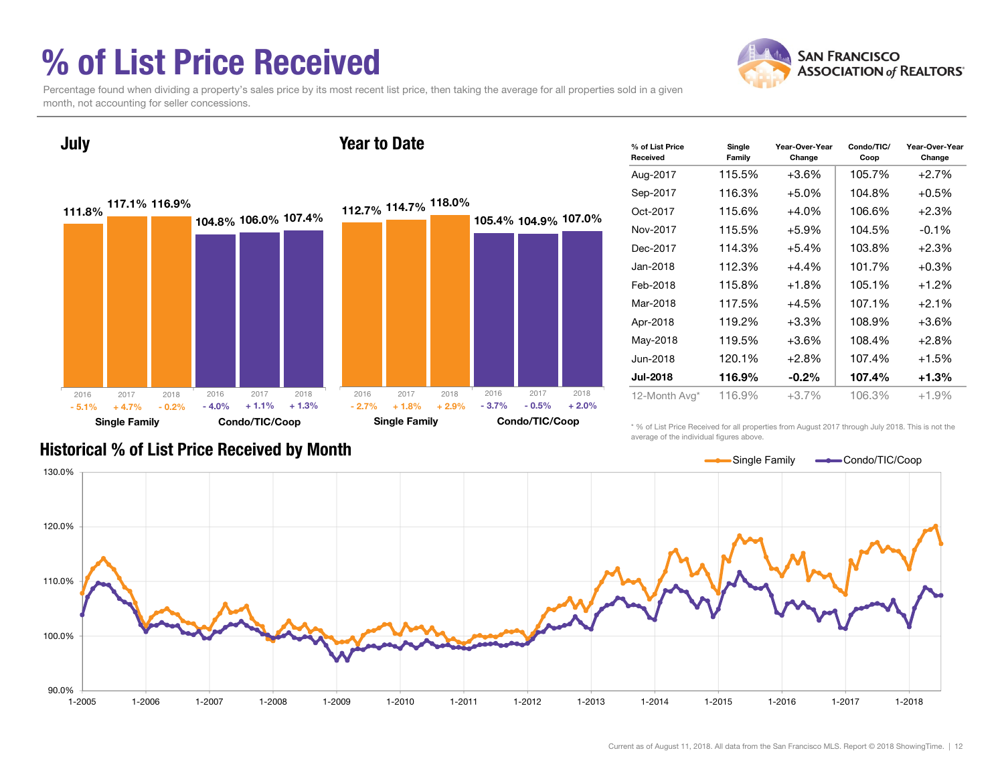### % of List Price Received

July



Percentage found when dividing a property's sales price by its most recent list price, then taking the average for all properties sold in a given month, not accounting for seller concessions.



| % of List Price<br>Received | Single<br>Family | Year-Over-Year<br>Change | Condo/TIC/<br>Coop | Year-Over-Year<br>Change |
|-----------------------------|------------------|--------------------------|--------------------|--------------------------|
| Aug-2017                    | 115.5%           | $+3.6\%$                 | 105.7%             | $+2.7%$                  |
| Sep-2017                    | 116.3%           | $+5.0%$                  | 104.8%             | $+0.5%$                  |
| Oct-2017                    | 115.6%           | $+4.0%$                  | 106.6%             | $+2.3%$                  |
| Nov-2017                    | 115.5%           | $+5.9%$                  | 104.5%             | $-0.1%$                  |
| Dec-2017                    | 114.3%           | $+5.4\%$                 | 103.8%             | $+2.3%$                  |
| Jan-2018                    | 112.3%           | $+4.4%$                  | 101.7%             | $+0.3%$                  |
| Feb-2018                    | 115.8%           | $+1.8%$                  | 105.1%             | $+1.2%$                  |
| Mar-2018                    | 117.5%           | $+4.5%$                  | 107.1%             | $+2.1%$                  |
| Apr-2018                    | 119.2%           | $+3.3%$                  | 108.9%             | $+3.6%$                  |
| May-2018                    | 119.5%           | $+3.6\%$                 | 108.4%             | $+2.8%$                  |
| Jun-2018                    | 120.1%           | $+2.8%$                  | 107.4%             | $+1.5%$                  |
| <b>Jul-2018</b>             | 116.9%           | $-0.2\%$                 | 107.4%             | $+1.3%$                  |
| 12-Month Avg*               | 116.9%           | +3.7%                    | 106.3%             | $+1.9%$                  |

#### Historical % of List Price Received by Month

\* % of List Price Received for all properties from August 2017 through July 2018. This is not the average of the individual figures above.



#### Year to Date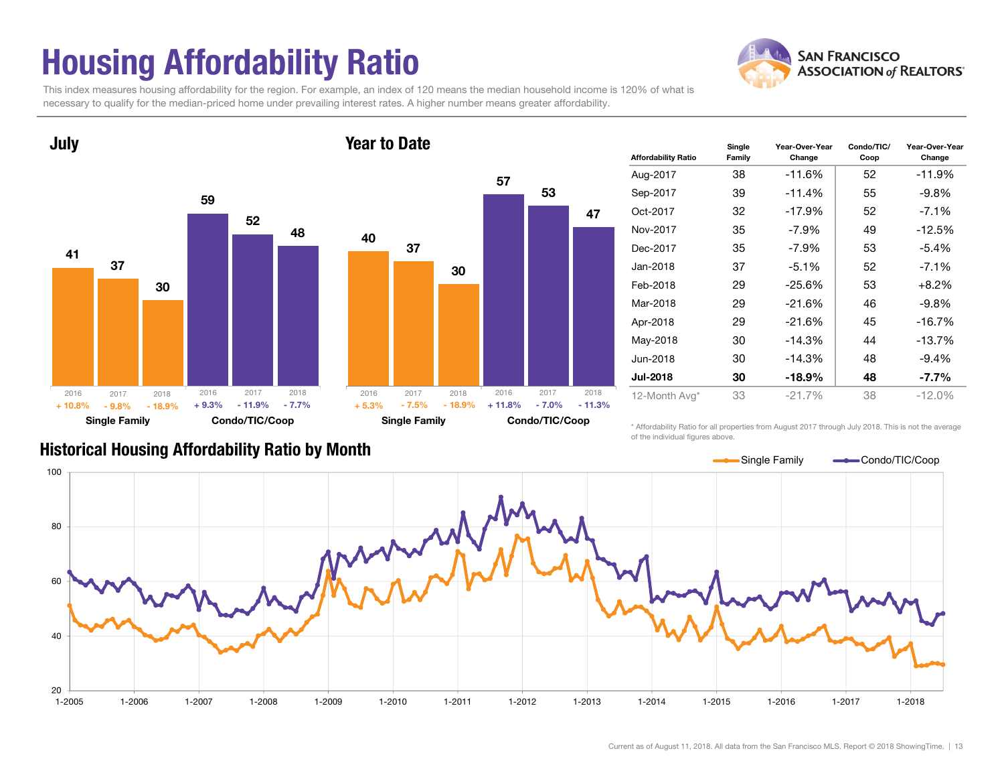### Housing Affordability Ratio

**SAN FRANCISCO ASSOCIATION of REALTORS'** 

This index measures housing affordability for the region. For example, an index of 120 means the median household income is 120% of what is necessary to qualify for the median-priced home under prevailing interest rates. A higher number means greater affordability.





| <b>Affordability Ratio</b> | Single<br>Family | Year-Over-Year<br>Change | Condo/TIC/<br>Coop | Year-Over-Year<br>Change |  |
|----------------------------|------------------|--------------------------|--------------------|--------------------------|--|
| Aug-2017                   | 38               | $-11.6%$                 | 52                 | -11.9%                   |  |
| Sep-2017                   | 39               | $-11.4%$                 | 55                 | $-9.8\%$                 |  |
| Oct-2017                   | 32               | $-17.9%$                 | 52                 | $-7.1\%$                 |  |
| Nov-2017                   | 35               | $-7.9\%$                 | 49                 | $-12.5%$                 |  |
| Dec-2017                   | 35               | $-7.9\%$                 | 53                 | $-5.4%$                  |  |
| Jan-2018                   | 37               | $-5.1%$                  | 52                 | $-7.1\%$                 |  |
| Feb-2018                   | 29               | $-25.6%$                 | 53                 | $+8.2%$                  |  |
| Mar-2018                   | 29               | $-21.6%$                 | 46                 | $-9.8\%$                 |  |
| Apr-2018                   | 29               | $-21.6%$                 | 45                 | $-16.7%$                 |  |
| May-2018                   | 30               | $-14.3%$                 | 44                 | $-13.7%$                 |  |
| Jun-2018                   | 30               | $-14.3%$                 | 48                 | $-9.4%$                  |  |
| <b>Jul-2018</b>            | 30               | -18.9%                   | 48                 | $-7.7\%$                 |  |
| 12-Month Avg*              | 33               | $-21.7%$                 | 38                 | $-12.0%$                 |  |

Historical Housing Affordability Ratio by Month

\* Affordability Ratio for all properties from August 2017 through July 2018. This is not the average of the individual figures above.



Current as of August 11, 2018. All data from the San Francisco MLS. Report © 2018 ShowingTime. | 13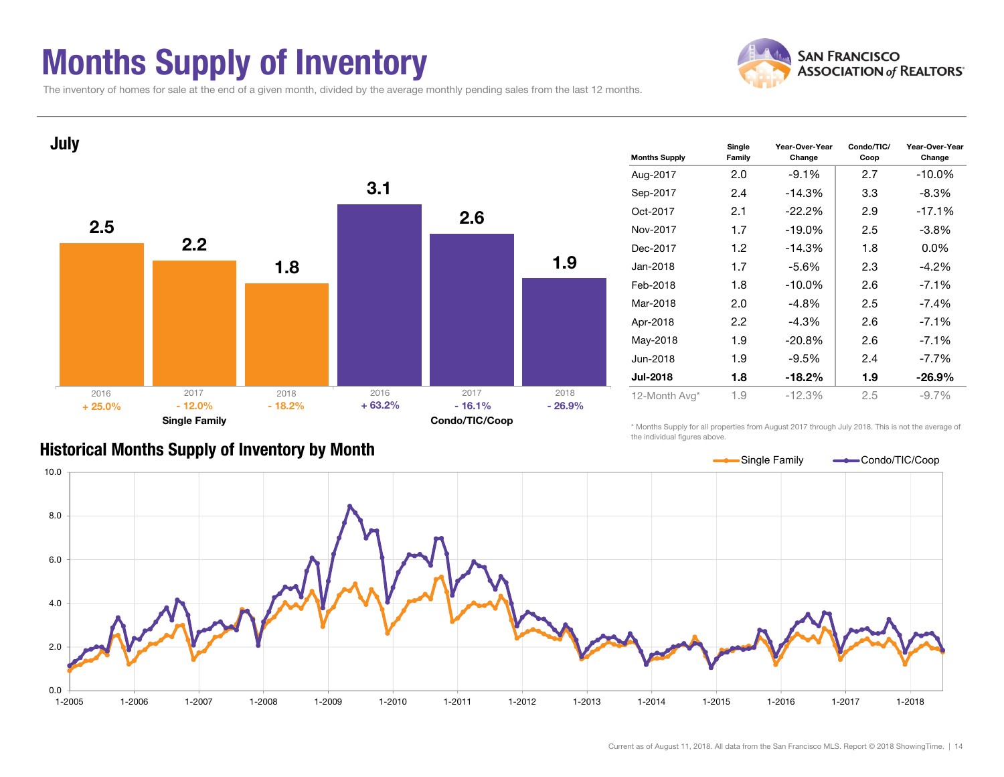### Months Supply of Inventory



Condo/TIC/ Coop

Year-Over-Year Change

The inventory of homes for sale at the end of a given month, divided by the average monthly pending sales from the last 12 months.



#### Historical Months Supply of Inventory by Month

\* Months Supply for all properties from August 2017 through July 2018. This is not the average of the individual figures above.

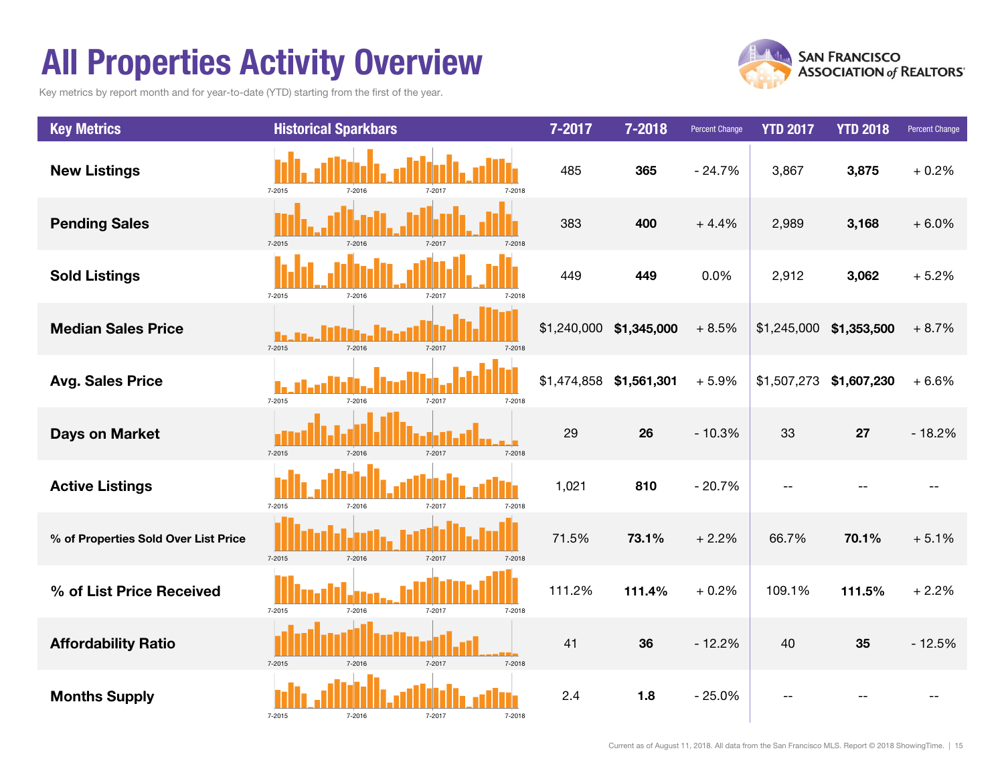### All Properties Activity Overview

Key metrics by report month and for year-to-date (YTD) starting from the first of the year.